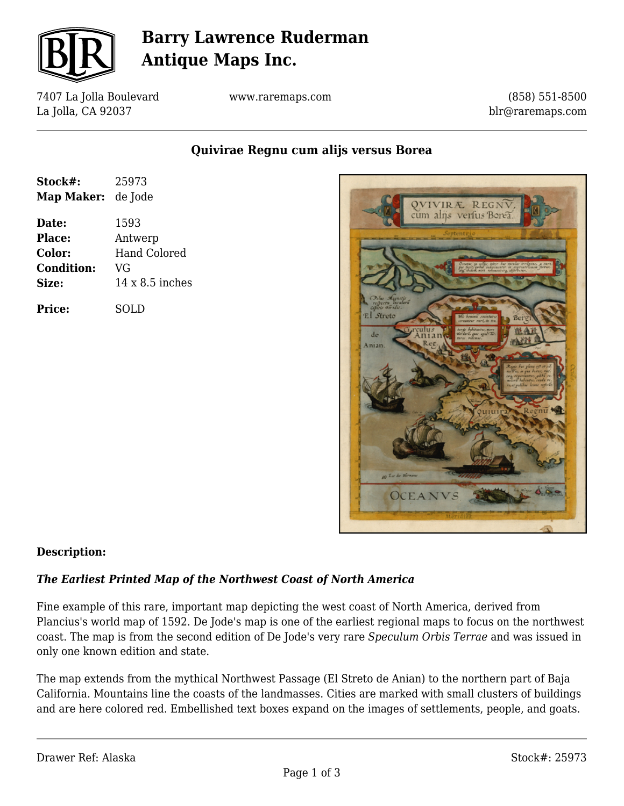

# **Barry Lawrence Ruderman Antique Maps Inc.**

7407 La Jolla Boulevard La Jolla, CA 92037

www.raremaps.com

(858) 551-8500 blr@raremaps.com

**Quivirae Regnu cum alijs versus Borea**

| Stock#:<br><b>Map Maker:</b> | 25973<br>de Jode       |
|------------------------------|------------------------|
| Date:                        | 1593                   |
| Place:                       | Antwerp                |
| Color:                       | <b>Hand Colored</b>    |
| <b>Condition:</b>            | VG                     |
| Size:                        | $14 \times 8.5$ inches |
| Price:                       | SOLD                   |



### **Description:**

### *The Earliest Printed Map of the Northwest Coast of North America*

Fine example of this rare, important map depicting the west coast of North America, derived from Plancius's world map of 1592. De Jode's map is one of the earliest regional maps to focus on the northwest coast. The map is from the second edition of De Jode's very rare *Speculum Orbis Terrae* and was issued in only one known edition and state.

The map extends from the mythical Northwest Passage (El Streto de Anian) to the northern part of Baja California. Mountains line the coasts of the landmasses. Cities are marked with small clusters of buildings and are here colored red. Embellished text boxes expand on the images of settlements, people, and goats.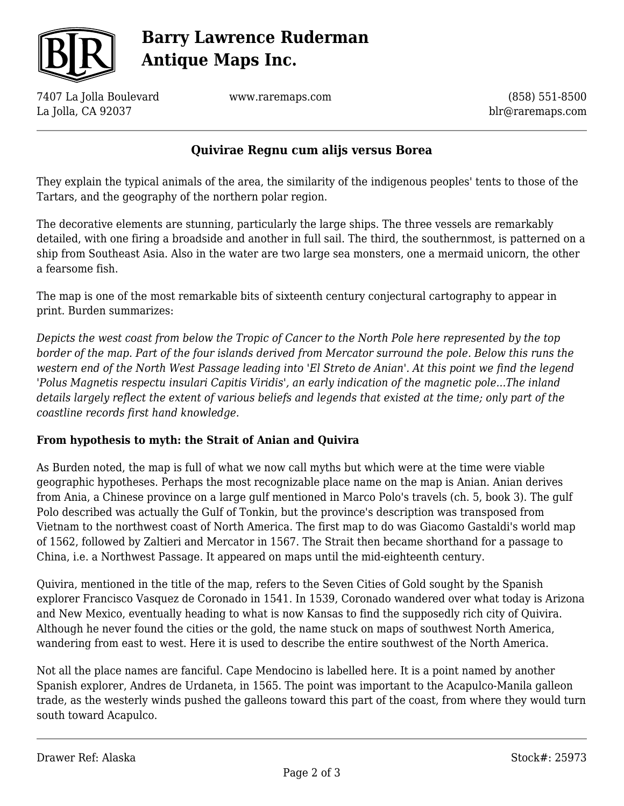

# **Barry Lawrence Ruderman Antique Maps Inc.**

7407 La Jolla Boulevard La Jolla, CA 92037

www.raremaps.com

(858) 551-8500 blr@raremaps.com

### **Quivirae Regnu cum alijs versus Borea**

They explain the typical animals of the area, the similarity of the indigenous peoples' tents to those of the Tartars, and the geography of the northern polar region.

The decorative elements are stunning, particularly the large ships. The three vessels are remarkably detailed, with one firing a broadside and another in full sail. The third, the southernmost, is patterned on a ship from Southeast Asia. Also in the water are two large sea monsters, one a mermaid unicorn, the other a fearsome fish.

The map is one of the most remarkable bits of sixteenth century conjectural cartography to appear in print. Burden summarizes:

*Depicts the west coast from below the Tropic of Cancer to the North Pole here represented by the top border of the map. Part of the four islands derived from Mercator surround the pole. Below this runs the western end of the North West Passage leading into 'El Streto de Anian'. At this point we find the legend 'Polus Magnetis respectu insulari Capitis Viridis', an early indication of the magnetic pole...The inland details largely reflect the extent of various beliefs and legends that existed at the time; only part of the coastline records first hand knowledge.*

### **From hypothesis to myth: the Strait of Anian and Quivira**

As Burden noted, the map is full of what we now call myths but which were at the time were viable geographic hypotheses. Perhaps the most recognizable place name on the map is Anian. Anian derives from Ania, a Chinese province on a large gulf mentioned in Marco Polo's travels (ch. 5, book 3). The gulf Polo described was actually the Gulf of Tonkin, but the province's description was transposed from Vietnam to the northwest coast of North America. The first map to do was Giacomo Gastaldi's world map of 1562, followed by Zaltieri and Mercator in 1567. The Strait then became shorthand for a passage to China, i.e. a Northwest Passage. It appeared on maps until the mid-eighteenth century.

Quivira, mentioned in the title of the map, refers to the Seven Cities of Gold sought by the Spanish explorer Francisco Vasquez de Coronado in 1541. In 1539, Coronado wandered over what today is Arizona and New Mexico, eventually heading to what is now Kansas to find the supposedly rich city of Quivira. Although he never found the cities or the gold, the name stuck on maps of southwest North America, wandering from east to west. Here it is used to describe the entire southwest of the North America.

Not all the place names are fanciful. Cape Mendocino is labelled here. It is a point named by another Spanish explorer, Andres de Urdaneta, in 1565. The point was important to the Acapulco-Manila galleon trade, as the westerly winds pushed the galleons toward this part of the coast, from where they would turn south toward Acapulco.